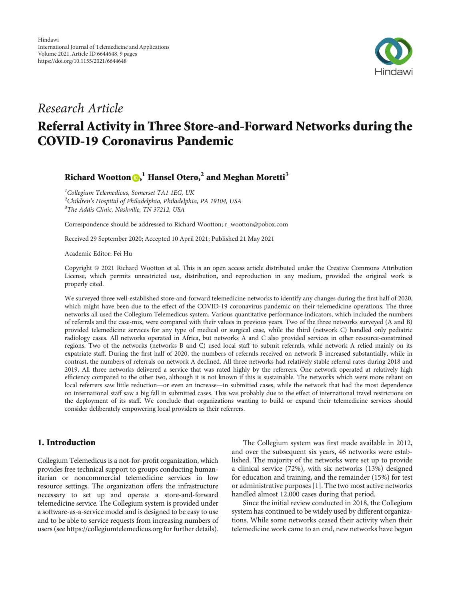

# Research Article

# Referral Activity in Three Store-and-Forward Networks during the COVID-19 Coronavirus Pandemic

# Richard Wootton , **<sup>1</sup>** Hansel Otero,**<sup>2</sup>** and Meghan Moretti**<sup>3</sup>**

<sup>1</sup>Collegium Telemedicus, Somerset TA1 1EG, UK <sup>2</sup>Children's Hospital of Philadelphia, Philadelphia, PA 19104, USA<br><sup>3</sup>The Addis Clinis, Nashville, TN 37212, USA <sup>3</sup>The Addis Clinic, Nashville, TN 37212, USA

Correspondence should be addressed to Richard Wootton; r\_wootton@pobox.com

Received 29 September 2020; Accepted 10 April 2021; Published 21 May 2021

Academic Editor: Fei Hu

Copyright © 2021 Richard Wootton et al. This is an open access article distributed under the [Creative Commons Attribution](https://creativecommons.org/licenses/by/4.0/) [License,](https://creativecommons.org/licenses/by/4.0/) which permits unrestricted use, distribution, and reproduction in any medium, provided the original work is properly cited.

We surveyed three well-established store-and-forward telemedicine networks to identify any changes during the first half of 2020, which might have been due to the effect of the COVID-19 coronavirus pandemic on their telemedicine operations. The three networks all used the Collegium Telemedicus system. Various quantitative performance indicators, which included the numbers of referrals and the case-mix, were compared with their values in previous years. Two of the three networks surveyed (A and B) provided telemedicine services for any type of medical or surgical case, while the third (network C) handled only pediatric radiology cases. All networks operated in Africa, but networks A and C also provided services in other resource-constrained regions. Two of the networks (networks B and C) used local staff to submit referrals, while network A relied mainly on its expatriate staff. During the first half of 2020, the numbers of referrals received on network B increased substantially, while in contrast, the numbers of referrals on network A declined. All three networks had relatively stable referral rates during 2018 and 2019. All three networks delivered a service that was rated highly by the referrers. One network operated at relatively high efficiency compared to the other two, although it is not known if this is sustainable. The networks which were more reliant on local referrers saw little reduction—or even an increase—in submitted cases, while the network that had the most dependence on international staff saw a big fall in submitted cases. This was probably due to the effect of international travel restrictions on the deployment of its staff. We conclude that organizations wanting to build or expand their telemedicine services should consider deliberately empowering local providers as their referrers.

## 1. Introduction

Collegium Telemedicus is a not-for-profit organization, which provides free technical support to groups conducting humanitarian or noncommercial telemedicine services in low resource settings. The organization offers the infrastructure necessary to set up and operate a store-and-forward telemedicine service. The Collegium system is provided under a software-as-a-service model and is designed to be easy to use and to be able to service requests from increasing numbers of users (see<https://collegiumtelemedicus.org> for further details).

The Collegium system was first made available in 2012, and over the subsequent six years, 46 networks were established. The majority of the networks were set up to provide a clinical service (72%), with six networks (13%) designed for education and training, and the remainder (15%) for test or administrative purposes [\[1\]](#page-8-0). The two most active networks handled almost 12,000 cases during that period.

Since the initial review conducted in 2018, the Collegium system has continued to be widely used by different organizations. While some networks ceased their activity when their telemedicine work came to an end, new networks have begun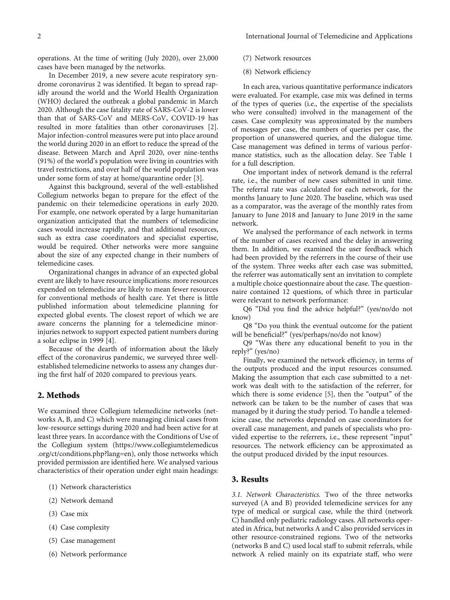operations. At the time of writing (July 2020), over 23,000 cases have been managed by the networks.

In December 2019, a new severe acute respiratory syndrome coronavirus 2 was identified. It began to spread rapidly around the world and the World Health Organization (WHO) declared the outbreak a global pandemic in March 2020. Although the case fatality rate of SARS-CoV-2 is lower than that of SARS-CoV and MERS-CoV, COVID-19 has resulted in more fatalities than other coronaviruses [[2](#page-8-0)]. Major infection-control measures were put into place around the world during 2020 in an effort to reduce the spread of the disease. Between March and April 2020, over nine-tenths (91%) of the world's population were living in countries with travel restrictions, and over half of the world population was under some form of stay at home/quarantine order [\[3](#page-8-0)].

Against this background, several of the well-established Collegium networks began to prepare for the effect of the pandemic on their telemedicine operations in early 2020. For example, one network operated by a large humanitarian organization anticipated that the numbers of telemedicine cases would increase rapidly, and that additional resources, such as extra case coordinators and specialist expertise, would be required. Other networks were more sanguine about the size of any expected change in their numbers of telemedicine cases.

Organizational changes in advance of an expected global event are likely to have resource implications: more resources expended on telemedicine are likely to mean fewer resources for conventional methods of health care. Yet there is little published information about telemedicine planning for expected global events. The closest report of which we are aware concerns the planning for a telemedicine minorinjuries network to support expected patient numbers during a solar eclipse in 1999 [\[4](#page-8-0)].

Because of the dearth of information about the likely effect of the coronavirus pandemic, we surveyed three wellestablished telemedicine networks to assess any changes during the first half of 2020 compared to previous years.

### 2. Methods

We examined three Collegium telemedicine networks (networks A, B, and C) which were managing clinical cases from low-resource settings during 2020 and had been active for at least three years. In accordance with the Conditions of Use of the Collegium system ([https://www.collegiumtelemedicus](https://www.collegiumtelemedicus.org/ct/conditions.php?lang=en) [.org/ct/conditions.php?lang=en](https://www.collegiumtelemedicus.org/ct/conditions.php?lang=en)), only those networks which provided permission are identified here. We analysed various characteristics of their operation under eight main headings:

- (1) Network characteristics
- (2) Network demand
- (3) Case mix
- (4) Case complexity
- (5) Case management
- (6) Network performance
- (7) Network resources
- (8) Network efficiency

In each area, various quantitative performance indicators were evaluated. For example, case mix was defined in terms of the types of queries (i.e., the expertise of the specialists who were consulted) involved in the management of the cases. Case complexity was approximated by the numbers of messages per case, the numbers of queries per case, the proportion of unanswered queries, and the dialogue time. Case management was defined in terms of various performance statistics, such as the allocation delay. See Table [1](#page-2-0) for a full description.

One important index of network demand is the referral rate, i.e., the number of new cases submitted in unit time. The referral rate was calculated for each network, for the months January to June 2020. The baseline, which was used as a comparator, was the average of the monthly rates from January to June 2018 and January to June 2019 in the same network.

We analysed the performance of each network in terms of the number of cases received and the delay in answering them. In addition, we examined the user feedback which had been provided by the referrers in the course of their use of the system. Three weeks after each case was submitted, the referrer was automatically sent an invitation to complete a multiple choice questionnaire about the case. The questionnaire contained 12 questions, of which three in particular were relevant to network performance:

Q6 "Did you find the advice helpful?" (yes/no/do not know)

Q8 "Do you think the eventual outcome for the patient will be beneficial?" (yes/perhaps/no/do not know)

Q9 "Was there any educational benefit to you in the reply?" (yes/no)

Finally, we examined the network efficiency, in terms of the outputs produced and the input resources consumed. Making the assumption that each case submitted to a network was dealt with to the satisfaction of the referrer, for which there is some evidence [\[5](#page-8-0)], then the "output" of the network can be taken to be the number of cases that was managed by it during the study period. To handle a telemedicine case, the networks depended on case coordinators for overall case management, and panels of specialists who provided expertise to the referrers, i.e., these represent "input" resources. The network efficiency can be approximated as the output produced divided by the input resources.

#### 3. Results

3.1. Network Characteristics. Two of the three networks surveyed (A and B) provided telemedicine services for any type of medical or surgical case, while the third (network C) handled only pediatric radiology cases. All networks operated in Africa, but networks A and C also provided services in other resource-constrained regions. Two of the networks (networks B and C) used local staff to submit referrals, while network A relied mainly on its expatriate staff, who were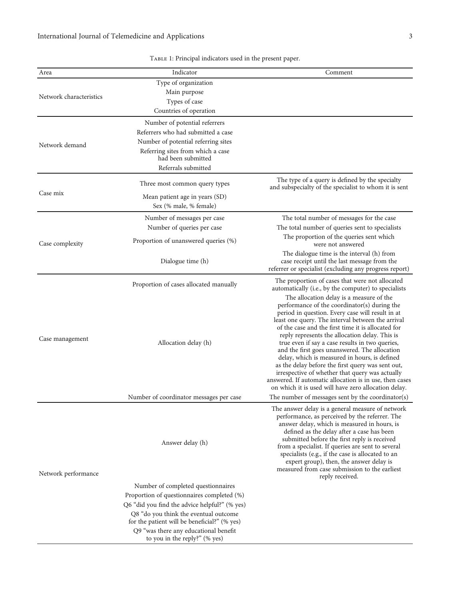<span id="page-2-0"></span>

| Area                    | Indicator                                                                             | Comment                                                                                                                                                                                                                                                                                                                                                                                                                                                                                                                                                                                                                                       |
|-------------------------|---------------------------------------------------------------------------------------|-----------------------------------------------------------------------------------------------------------------------------------------------------------------------------------------------------------------------------------------------------------------------------------------------------------------------------------------------------------------------------------------------------------------------------------------------------------------------------------------------------------------------------------------------------------------------------------------------------------------------------------------------|
|                         | Type of organization                                                                  |                                                                                                                                                                                                                                                                                                                                                                                                                                                                                                                                                                                                                                               |
|                         | Main purpose                                                                          |                                                                                                                                                                                                                                                                                                                                                                                                                                                                                                                                                                                                                                               |
| Network characteristics | Types of case                                                                         |                                                                                                                                                                                                                                                                                                                                                                                                                                                                                                                                                                                                                                               |
|                         | Countries of operation                                                                |                                                                                                                                                                                                                                                                                                                                                                                                                                                                                                                                                                                                                                               |
|                         | Number of potential referrers                                                         |                                                                                                                                                                                                                                                                                                                                                                                                                                                                                                                                                                                                                                               |
|                         | Referrers who had submitted a case                                                    |                                                                                                                                                                                                                                                                                                                                                                                                                                                                                                                                                                                                                                               |
|                         | Number of potential referring sites                                                   |                                                                                                                                                                                                                                                                                                                                                                                                                                                                                                                                                                                                                                               |
| Network demand          | Referring sites from which a case                                                     |                                                                                                                                                                                                                                                                                                                                                                                                                                                                                                                                                                                                                                               |
|                         | had been submitted                                                                    |                                                                                                                                                                                                                                                                                                                                                                                                                                                                                                                                                                                                                                               |
|                         | Referrals submitted                                                                   |                                                                                                                                                                                                                                                                                                                                                                                                                                                                                                                                                                                                                                               |
|                         | Three most common query types                                                         | The type of a query is defined by the specialty<br>and subspecialty of the specialist to whom it is sent                                                                                                                                                                                                                                                                                                                                                                                                                                                                                                                                      |
| Case mix                | Mean patient age in years (SD)                                                        |                                                                                                                                                                                                                                                                                                                                                                                                                                                                                                                                                                                                                                               |
|                         | Sex (% male, % female)                                                                |                                                                                                                                                                                                                                                                                                                                                                                                                                                                                                                                                                                                                                               |
|                         | Number of messages per case                                                           | The total number of messages for the case                                                                                                                                                                                                                                                                                                                                                                                                                                                                                                                                                                                                     |
|                         | Number of queries per case                                                            | The total number of queries sent to specialists                                                                                                                                                                                                                                                                                                                                                                                                                                                                                                                                                                                               |
| Case complexity         | Proportion of unanswered queries (%)                                                  | The proportion of the queries sent which<br>were not answered                                                                                                                                                                                                                                                                                                                                                                                                                                                                                                                                                                                 |
|                         | Dialogue time (h)                                                                     | The dialogue time is the interval (h) from<br>case receipt until the last message from the<br>referrer or specialist (excluding any progress report)                                                                                                                                                                                                                                                                                                                                                                                                                                                                                          |
|                         | Proportion of cases allocated manually                                                | The proportion of cases that were not allocated<br>automatically (i.e., by the computer) to specialists<br>The allocation delay is a measure of the                                                                                                                                                                                                                                                                                                                                                                                                                                                                                           |
| Case management         | Allocation delay (h)                                                                  | performance of the coordinator(s) during the<br>period in question. Every case will result in at<br>least one query. The interval between the arrival<br>of the case and the first time it is allocated for<br>reply represents the allocation delay. This is<br>true even if say a case results in two queries,<br>and the first goes unanswered. The allocation<br>delay, which is measured in hours, is defined<br>as the delay before the first query was sent out,<br>irrespective of whether that query was actually<br>answered. If automatic allocation is in use, then cases<br>on which it is used will have zero allocation delay. |
|                         | Number of coordinator messages per case                                               | The number of messages sent by the coordinator(s)                                                                                                                                                                                                                                                                                                                                                                                                                                                                                                                                                                                             |
| Network performance     | Answer delay (h)                                                                      | The answer delay is a general measure of network<br>performance, as perceived by the referrer. The<br>answer delay, which is measured in hours, is<br>defined as the delay after a case has been<br>submitted before the first reply is received<br>from a specialist. If queries are sent to several<br>specialists (e.g., if the case is allocated to an<br>expert group), then, the answer delay is<br>measured from case submission to the earliest<br>reply received.                                                                                                                                                                    |
|                         | Number of completed questionnaires                                                    |                                                                                                                                                                                                                                                                                                                                                                                                                                                                                                                                                                                                                                               |
|                         | Proportion of questionnaires completed (%)                                            |                                                                                                                                                                                                                                                                                                                                                                                                                                                                                                                                                                                                                                               |
|                         | Q6 "did you find the advice helpful?" (% yes)                                         |                                                                                                                                                                                                                                                                                                                                                                                                                                                                                                                                                                                                                                               |
|                         | Q8 "do you think the eventual outcome<br>for the patient will be beneficial?" (% yes) |                                                                                                                                                                                                                                                                                                                                                                                                                                                                                                                                                                                                                                               |
|                         | Q9 "was there any educational benefit<br>to you in the reply?" (% yes)                |                                                                                                                                                                                                                                                                                                                                                                                                                                                                                                                                                                                                                                               |

TABLE 1: Principal indicators used in the present paper.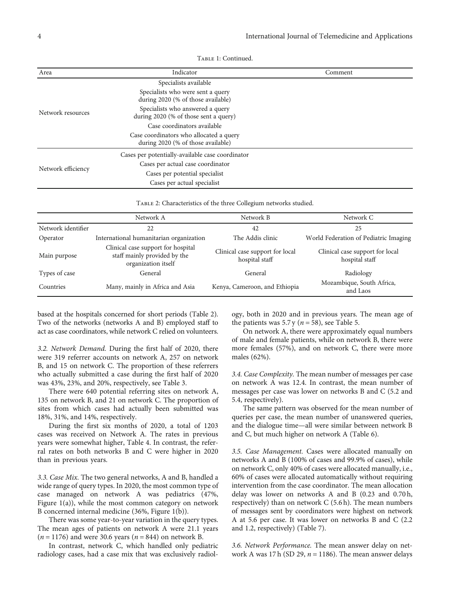|  | TABLE 1: Continued. |
|--|---------------------|
|  |                     |

| Area               | Indicator                                                                     | Comment |  |
|--------------------|-------------------------------------------------------------------------------|---------|--|
| Network resources  | Specialists available                                                         |         |  |
|                    | Specialists who were sent a query<br>during 2020 (% of those available)       |         |  |
|                    | Specialists who answered a query<br>during 2020 (% of those sent a query)     |         |  |
|                    | Case coordinators available                                                   |         |  |
|                    | Case coordinators who allocated a query<br>during 2020 (% of those available) |         |  |
|                    | Cases per potentially-available case coordinator                              |         |  |
| Network efficiency | Cases per actual case coordinator                                             |         |  |
|                    | Cases per potential specialist                                                |         |  |
|                    | Cases per actual specialist                                                   |         |  |

Table 2: Characteristics of the three Collegium networks studied.

|                    | Network A                                                                                 | Network B                                         | Network C                                         |
|--------------------|-------------------------------------------------------------------------------------------|---------------------------------------------------|---------------------------------------------------|
| Network identifier | 22                                                                                        | 42                                                | 25                                                |
| Operator           | International humanitarian organization                                                   | The Addis clinic                                  | World Federation of Pediatric Imaging             |
| Main purpose       | Clinical case support for hospital<br>staff mainly provided by the<br>organization itself | Clinical case support for local<br>hospital staff | Clinical case support for local<br>hospital staff |
| Types of case      | General                                                                                   | General                                           | Radiology                                         |
| Countries          | Many, mainly in Africa and Asia                                                           | Kenya, Cameroon, and Ethiopia                     | Mozambique, South Africa,<br>and Laos             |

based at the hospitals concerned for short periods (Table 2). Two of the networks (networks A and B) employed staff to act as case coordinators, while network C relied on volunteers.

3.2. Network Demand. During the first half of 2020, there were 319 referrer accounts on network A, 257 on network B, and 15 on network C. The proportion of these referrers who actually submitted a case during the first half of 2020 was 43%, 23%, and 20%, respectively, see Table [3.](#page-4-0)

There were 640 potential referring sites on network A, 135 on network B, and 21 on network C. The proportion of sites from which cases had actually been submitted was 18%, 31%, and 14%, respectively.

During the first six months of 2020, a total of 1203 cases was received on Network A. The rates in previous years were somewhat higher, Table [4](#page-4-0). In contrast, the referral rates on both networks B and C were higher in 2020 than in previous years.

3.3. Case Mix. The two general networks, A and B, handled a wide range of query types. In 2020, the most common type of case managed on network A was pediatrics (47%, Figure [1\(a\)\)](#page-5-0), while the most common category on network B concerned internal medicine (36%, Figure [1\(b\)\)](#page-5-0).

There was some year-to-year variation in the query types. The mean ages of patients on network A were 21.1 years (*n* = 1176) and were 30.6 years (*n* = 844) on network B.

In contrast, network C, which handled only pediatric radiology cases, had a case mix that was exclusively radiol-

ogy, both in 2020 and in previous years. The mean age of the patients was  $5.7 y$  ( $n = 58$  $n = 58$  $n = 58$ ), see Table 5.

On network A, there were approximately equal numbers of male and female patients, while on network B, there were more females (57%), and on network C, there were more males (62%).

3.4. Case Complexity. The mean number of messages per case on network A was 12.4. In contrast, the mean number of messages per case was lower on networks B and C (5.2 and 5.4, respectively).

The same pattern was observed for the mean number of queries per case, the mean number of unanswered queries, and the dialogue time—all were similar between network B and C, but much higher on network A (Table [6\)](#page-5-0).

3.5. Case Management. Cases were allocated manually on networks A and B (100% of cases and 99.9% of cases), while on network C, only 40% of cases were allocated manually, i.e., 60% of cases were allocated automatically without requiring intervention from the case coordinator. The mean allocation delay was lower on networks A and B (0.23 and 0.70 h, respectively) than on network C (5.6 h). The mean numbers of messages sent by coordinators were highest on network A at 5.6 per case. It was lower on networks B and C (2.2 and 1.2, respectively) (Table [7](#page-5-0)).

3.6. Network Performance. The mean answer delay on network A was 17 h (SD 29,  $n = 1186$ ). The mean answer delays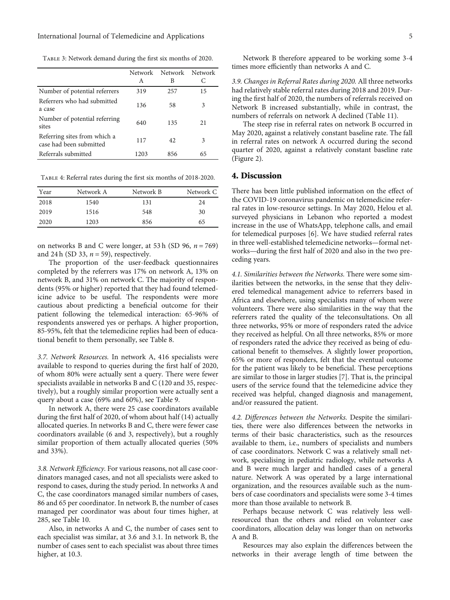<span id="page-4-0"></span>Table 3: Network demand during the first six months of 2020.

|                                                         | Network<br>A | Network<br>В | Network<br>C |
|---------------------------------------------------------|--------------|--------------|--------------|
| Number of potential referrers                           | 319          | 257          | 15           |
| Referrers who had submitted<br>a case                   | 136          | 58           | 3            |
| Number of potential referring<br>sites                  | 640          | 135          | 2.1          |
| Referring sites from which a<br>case had been submitted | 117          | 42           | 3            |
| Referrals submitted                                     | 1203         | 856          | 65           |

Table 4: Referral rates during the first six months of 2018-2020.

| Year | Network A | Network B | Network C |
|------|-----------|-----------|-----------|
| 2018 | 1540      | 131       | 24        |
| 2019 | 1516      | 548       | 30        |
| 2020 | 1203      | 856       | 65        |

on networks B and C were longer, at 53 h (SD 96, *n* = 769) and 24 h (SD 33,  $n = 59$ ), respectively.

The proportion of the user-feedback questionnaires completed by the referrers was 17% on network A, 13% on network B, and 31% on network C. The majority of respondents (95% or higher) reported that they had found telemedicine advice to be useful. The respondents were more cautious about predicting a beneficial outcome for their patient following the telemedical interaction: 65-96% of respondents answered yes or perhaps. A higher proportion, 85-95%, felt that the telemedicine replies had been of educational benefit to them personally, see Table [8.](#page-6-0)

3.7. Network Resources. In network A, 416 specialists were available to respond to queries during the first half of 2020, of whom 80% were actually sent a query. There were fewer specialists available in networks B and C (120 and 35, respectively), but a roughly similar proportion were actually sent a query about a case (69% and 60%), see Table [9.](#page-6-0)

In network A, there were 25 case coordinators available during the first half of 2020, of whom about half (14) actually allocated queries. In networks B and C, there were fewer case coordinators available (6 and 3, respectively), but a roughly similar proportion of them actually allocated queries (50% and 33%).

3.8. Network Efficiency. For various reasons, not all case coordinators managed cases, and not all specialists were asked to respond to cases, during the study period. In networks A and C, the case coordinators managed similar numbers of cases, 86 and 65 per coordinator. In network B, the number of cases managed per coordinator was about four times higher, at 285, see Table [10](#page-6-0).

Also, in networks A and C, the number of cases sent to each specialist was similar, at 3.6 and 3.1. In network B, the number of cases sent to each specialist was about three times higher, at 10.3.

Network B therefore appeared to be working some 3-4 times more efficiently than networks A and C.

3.9. Changes in Referral Rates during 2020. All three networks had relatively stable referral rates during 2018 and 2019. During the first half of 2020, the numbers of referrals received on Network B increased substantially, while in contrast, the numbers of referrals on network A declined (Table [11](#page-6-0)).

The steep rise in referral rates on network B occurred in May 2020, against a relatively constant baseline rate. The fall in referral rates on network A occurred during the second quarter of 2020, against a relatively constant baseline rate (Figure [2](#page-7-0)).

#### 4. Discussion

There has been little published information on the effect of the COVID-19 coronavirus pandemic on telemedicine referral rates in low-resource settings. In May 2020, Helou et al. surveyed physicians in Lebanon who reported a modest increase in the use of WhatsApp, telephone calls, and email for telemedical purposes [\[6](#page-8-0)]. We have studied referral rates in three well-established telemedicine networks—formal networks—during the first half of 2020 and also in the two preceding years.

4.1. Similarities between the Networks. There were some similarities between the networks, in the sense that they delivered telemedical management advice to referrers based in Africa and elsewhere, using specialists many of whom were volunteers. There were also similarities in the way that the referrers rated the quality of the teleconsultations. On all three networks, 95% or more of responders rated the advice they received as helpful. On all three networks, 85% or more of responders rated the advice they received as being of educational benefit to themselves. A slightly lower proportion, 65% or more of responders, felt that the eventual outcome for the patient was likely to be beneficial. These perceptions are similar to those in larger studies [\[7\]](#page-8-0). That is, the principal users of the service found that the telemedicine advice they received was helpful, changed diagnosis and management, and/or reassured the patient.

4.2. Differences between the Networks. Despite the similarities, there were also differences between the networks in terms of their basic characteristics, such as the resources available to them, i.e., numbers of specialists and numbers of case coordinators. Network C was a relatively small network, specialising in pediatric radiology, while networks A and B were much larger and handled cases of a general nature. Network A was operated by a large international organization, and the resources available such as the numbers of case coordinators and specialists were some 3-4 times more than those available to network B.

Perhaps because network C was relatively less wellresourced than the others and relied on volunteer case coordinators, allocation delay was longer than on networks A and B.

Resources may also explain the differences between the networks in their average length of time between the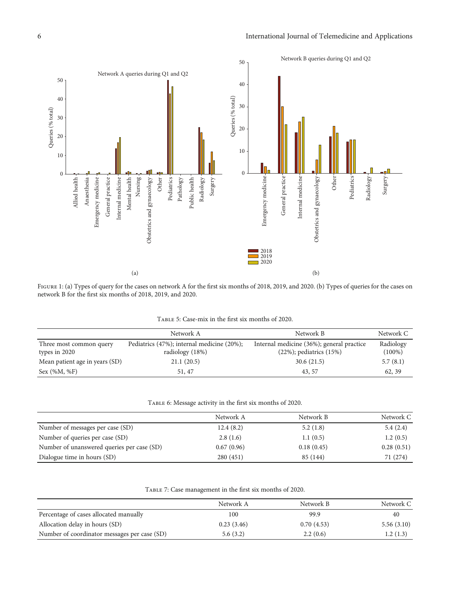<span id="page-5-0"></span>

Figure 1: (a) Types of query for the cases on network A for the first six months of 2018, 2019, and 2020. (b) Types of queries for the cases on network B for the first six months of 2018, 2019, and 2020.

| TABLE 5: Case-mix in the first six months of 2020. |  |  |
|----------------------------------------------------|--|--|
|                                                    |  |  |

|                                          | Network A                                                       | Network B                                                                   | Network C              |
|------------------------------------------|-----------------------------------------------------------------|-----------------------------------------------------------------------------|------------------------|
| Three most common query<br>types in 2020 | Pediatrics (47%); internal medicine (20%);<br>radiology $(18%)$ | Internal medicine (36%); general practice<br>$(22\%)$ ; pediatrics $(15\%)$ | Radiology<br>$(100\%)$ |
| Mean patient age in years (SD)           | 21.1(20.5)                                                      | 30.6(21.5)                                                                  | 5.7(8.1)               |
| Sex ( %M, %F)                            | 51, 47                                                          | 43, 57                                                                      | 62, 39                 |

| TABLE 6: Message activity in the first six months of 2020. |  |  |
|------------------------------------------------------------|--|--|
|                                                            |  |  |

|                                            | Network A  | Network B  | Network C  |
|--------------------------------------------|------------|------------|------------|
| Number of messages per case (SD)           | 12.4(8.2)  | 5.2(1.8)   | 5.4(2.4)   |
| Number of queries per case (SD)            | 2.8(1.6)   | 1.1(0.5)   | 1.2(0.5)   |
| Number of unanswered queries per case (SD) | 0.67(0.96) | 0.18(0.45) | 0.28(0.51) |
| Dialogue time in hours (SD)                | 280(451)   | 85 (144)   | 71 (274)   |

Table 7: Case management in the first six months of 2020.

|                                              | Network A  | Network B  | Network C  |
|----------------------------------------------|------------|------------|------------|
| Percentage of cases allocated manually       | 100        | 99.9       | 40         |
| Allocation delay in hours (SD)               | 0.23(3.46) | 0.70(4.53) | 5.56(3.10) |
| Number of coordinator messages per case (SD) | 5.6(3.2)   | 2.2(0.6)   | 1.2(1.3)   |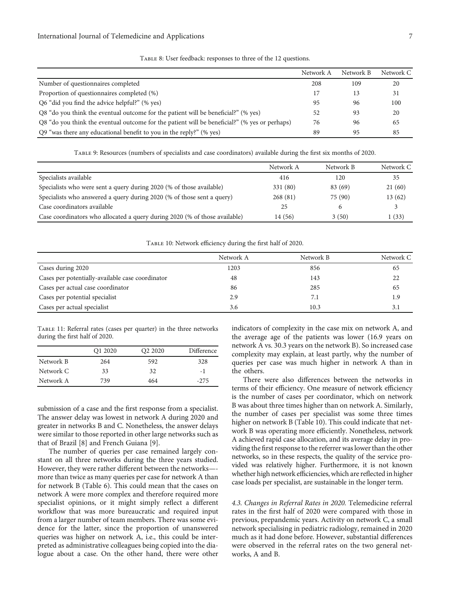<span id="page-6-0"></span>

|                                                                                               | Network A | Network B | Network C |
|-----------------------------------------------------------------------------------------------|-----------|-----------|-----------|
| Number of questionnaires completed                                                            | 208       | 109       | 20        |
| Proportion of questionnaires completed (%)                                                    |           | 13        | 31        |
| Q6 "did you find the advice helpful?" (% yes)                                                 | 95        | 96        | 100       |
| Q8 "do you think the eventual outcome for the patient will be beneficial?" (% yes)            | 52        | 93        | 20        |
| Q8 "do you think the eventual outcome for the patient will be beneficial?" (% yes or perhaps) | 76        | 96        | 65        |
| Q9 "was there any educational benefit to you in the reply?" (% yes)                           | 89        | 95        | 85        |

Table 8: User feedback: responses to three of the 12 questions.

Table 9: Resources (numbers of specialists and case coordinators) available during the first six months of 2020.

|                                                                            | Network A | Network B | Network C |
|----------------------------------------------------------------------------|-----------|-----------|-----------|
| Specialists available                                                      | 416       | 120       | 35        |
| Specialists who were sent a query during 2020 (% of those available)       | 331 (80)  | 83 (69)   | 21(60)    |
| Specialists who answered a query during 2020 (% of those sent a query)     | 268(81)   | 75(90)    | 13(62)    |
| Case coordinators available                                                | 25        | 6         |           |
| Case coordinators who allocated a query during 2020 (% of those available) | 14 (56)   | 3(50)     | 1 (33)    |

Table 10: Network efficiency during the first half of 2020.

|                                                  | Network A | Network B | Network C |
|--------------------------------------------------|-----------|-----------|-----------|
| Cases during 2020                                | 1203      | 856       | 65        |
| Cases per potentially-available case coordinator | 48        | 143       | 22        |
| Cases per actual case coordinator                | 86        | 285       | 65        |
| Cases per potential specialist                   | 2.9       | 7.1       | 1.9       |
| Cases per actual specialist                      | 3.6       | 10.3      |           |

Table 11: Referral rates (cases per quarter) in the three networks during the first half of 2020.

|           | Q1 2020 | Q <sub>2</sub> 20 <sub>20</sub> | Difference |
|-----------|---------|---------------------------------|------------|
| Network B | 264     | 592                             | 328        |
| Network C | 33      | 32                              | -1         |
| Network A | 739     | 464                             | $-275$     |

submission of a case and the first response from a specialist. The answer delay was lowest in network A during 2020 and greater in networks B and C. Nonetheless, the answer delays were similar to those reported in other large networks such as that of Brazil [\[8](#page-8-0)] and French Guiana [[9\]](#page-8-0).

The number of queries per case remained largely constant on all three networks during the three years studied. However, they were rather different between the networks— more than twice as many queries per case for network A than for network B (Table [6](#page-5-0)). This could mean that the cases on network A were more complex and therefore required more specialist opinions, or it might simply reflect a different workflow that was more bureaucratic and required input from a larger number of team members. There was some evidence for the latter, since the proportion of unanswered queries was higher on network A, i.e., this could be interpreted as administrative colleagues being copied into the dialogue about a case. On the other hand, there were other

indicators of complexity in the case mix on network A, and the average age of the patients was lower (16.9 years on network A vs. 30.3 years on the network B). So increased case complexity may explain, at least partly, why the number of queries per case was much higher in network A than in the others.

There were also differences between the networks in terms of their efficiency. One measure of network efficiency is the number of cases per coordinator, which on network B was about three times higher than on network A. Similarly, the number of cases per specialist was some three times higher on network B (Table 10). This could indicate that network B was operating more efficiently. Nonetheless, network A achieved rapid case allocation, and its average delay in providing the first response to the referrer was lower than the other networks, so in these respects, the quality of the service provided was relatively higher. Furthermore, it is not known whether high network efficiencies, which are reflected in higher case loads per specialist, are sustainable in the longer term.

4.3. Changes in Referral Rates in 2020. Telemedicine referral rates in the first half of 2020 were compared with those in previous, prepandemic years. Activity on network C, a small network specialising in pediatric radiology, remained in 2020 much as it had done before. However, substantial differences were observed in the referral rates on the two general networks, A and B.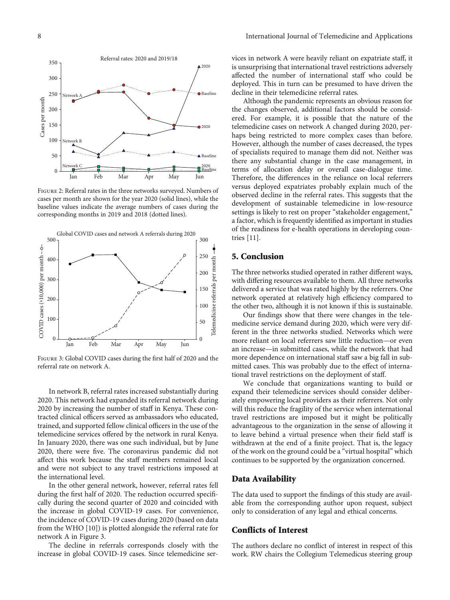<span id="page-7-0"></span>

Figure 2: Referral rates in the three networks surveyed. Numbers of cases per month are shown for the year 2020 (solid lines), while the baseline values indicate the average numbers of cases during the corresponding months in 2019 and 2018 (dotted lines).



Figure 3: Global COVID cases during the first half of 2020 and the referral rate on network A.

In network B, referral rates increased substantially during 2020. This network had expanded its referral network during 2020 by increasing the number of staff in Kenya. These contracted clinical officers served as ambassadors who educated, trained, and supported fellow clinical officers in the use of the telemedicine services offered by the network in rural Kenya. In January 2020, there was one such individual, but by June 2020, there were five. The coronavirus pandemic did not affect this work because the staff members remained local and were not subject to any travel restrictions imposed at the international level.

In the other general network, however, referral rates fell during the first half of 2020. The reduction occurred specifically during the second quarter of 2020 and coincided with the increase in global COVID-19 cases. For convenience, the incidence of COVID-19 cases during 2020 (based on data from the WHO [[10](#page-8-0)]) is plotted alongside the referral rate for network A in Figure 3.

The decline in referrals corresponds closely with the increase in global COVID-19 cases. Since telemedicine services in network A were heavily reliant on expatriate staff, it is unsurprising that international travel restrictions adversely affected the number of international staff who could be deployed. This in turn can be presumed to have driven the decline in their telemedicine referral rates.

Although the pandemic represents an obvious reason for the changes observed, additional factors should be considered. For example, it is possible that the nature of the telemedicine cases on network A changed during 2020, perhaps being restricted to more complex cases than before. However, although the number of cases decreased, the types of specialists required to manage them did not. Neither was there any substantial change in the case management, in terms of allocation delay or overall case-dialogue time. Therefore, the differences in the reliance on local referrers versus deployed expatriates probably explain much of the observed decline in the referral rates. This suggests that the development of sustainable telemedicine in low-resource settings is likely to rest on proper "stakeholder engagement," a factor, which is frequently identified as important in studies of the readiness for e-health operations in developing countries [\[11\]](#page-8-0).

# 5. Conclusion

The three networks studied operated in rather different ways, with differing resources available to them. All three networks delivered a service that was rated highly by the referrers. One network operated at relatively high efficiency compared to the other two, although it is not known if this is sustainable.

Our findings show that there were changes in the telemedicine service demand during 2020, which were very different in the three networks studied. Networks which were more reliant on local referrers saw little reduction—or even an increase—in submitted cases, while the network that had more dependence on international staff saw a big fall in submitted cases. This was probably due to the effect of international travel restrictions on the deployment of staff.

We conclude that organizations wanting to build or expand their telemedicine services should consider deliberately empowering local providers as their referrers. Not only will this reduce the fragility of the service when international travel restrictions are imposed but it might be politically advantageous to the organization in the sense of allowing it to leave behind a virtual presence when their field staff is withdrawn at the end of a finite project. That is, the legacy of the work on the ground could be a "virtual hospital" which continues to be supported by the organization concerned.

#### Data Availability

The data used to support the findings of this study are available from the corresponding author upon request, subject only to consideration of any legal and ethical concerns.

#### Conflicts of Interest

The authors declare no conflict of interest in respect of this work. RW chairs the Collegium Telemedicus steering group